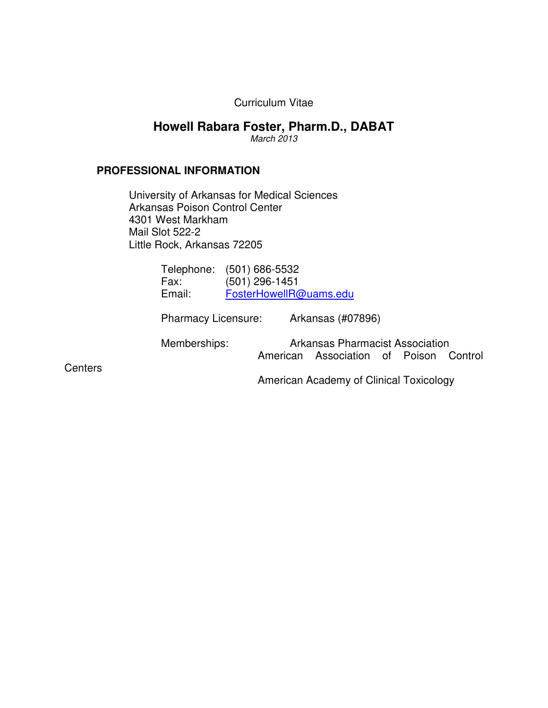Curriculum Vitae

# **Howell Rabara Foster, Pharm.D., DABAT**

*March 2013* 

### **PROFESSIONAL INFORMATION**

 University of Arkansas for Medical Sciences Arkansas Poison Control Center 4301 West Markham Mail Slot 522-2 Little Rock, Arkansas 72205

| Telephone: (501) 686-5532 |
|---------------------------|
| (501) 296-1451            |
| FosterHowellR@uams.edu    |
|                           |

Pharmacy Licensure: Arkansas (#07896)

 Memberships: Arkansas Pharmacist Association American Association of Poison Control

**Centers** 

American Academy of Clinical Toxicology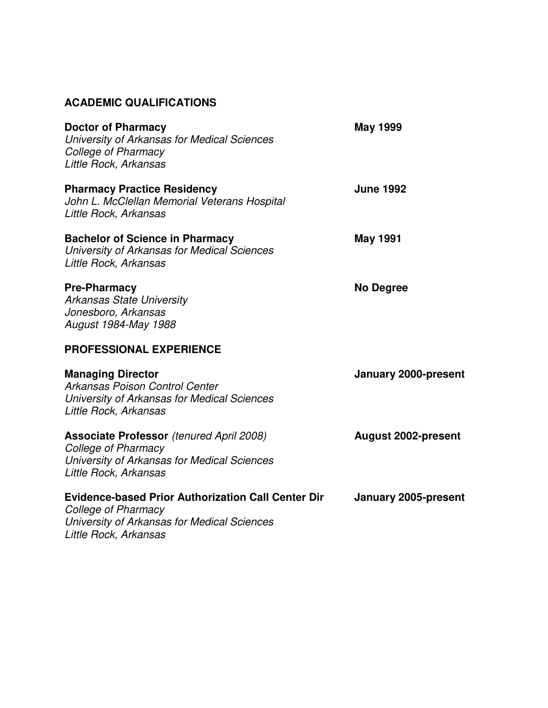# **ACADEMIC QUALIFICATIONS**

| <b>Doctor of Pharmacy</b><br>University of Arkansas for Medical Sciences<br><b>College of Pharmacy</b><br>Little Rock, Arkansas                                 | <b>May 1999</b>             |
|-----------------------------------------------------------------------------------------------------------------------------------------------------------------|-----------------------------|
| <b>Pharmacy Practice Residency</b><br>John L. McClellan Memorial Veterans Hospital<br>Little Rock, Arkansas                                                     | <b>June 1992</b>            |
| <b>Bachelor of Science in Pharmacy</b><br>University of Arkansas for Medical Sciences<br>Little Rock, Arkansas                                                  | <b>May 1991</b>             |
| <b>Pre-Pharmacy</b><br><b>Arkansas State University</b><br>Jonesboro, Arkansas<br>August 1984-May 1988                                                          | <b>No Degree</b>            |
| <b>PROFESSIONAL EXPERIENCE</b>                                                                                                                                  |                             |
| <b>Managing Director</b><br>Arkansas Poison Control Center<br>University of Arkansas for Medical Sciences<br>Little Rock, Arkansas                              | <b>January 2000-present</b> |
| <b>Associate Professor</b> (tenured April 2008)<br>College of Pharmacy<br>University of Arkansas for Medical Sciences<br>Little Rock, Arkansas                  | <b>August 2002-present</b>  |
| <b>Evidence-based Prior Authorization Call Center Dir</b><br><b>College of Pharmacy</b><br>University of Arkansas for Medical Sciences<br>Little Rock, Arkansas | <b>January 2005-present</b> |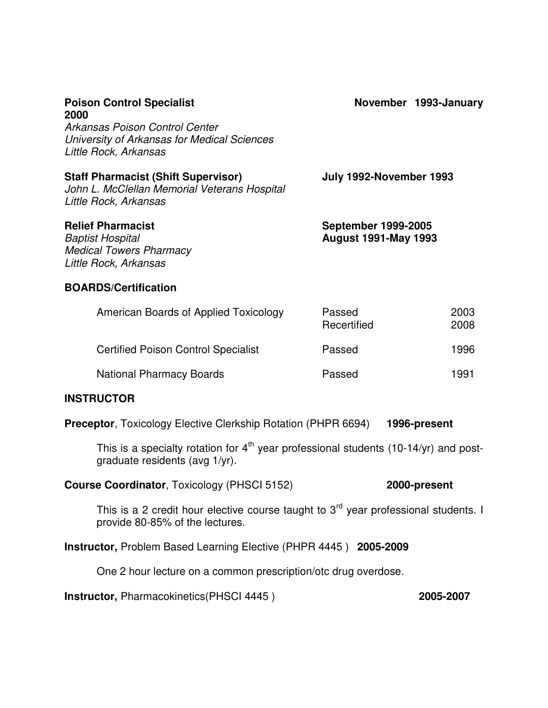| <b>Poison Control Specialist</b><br>2000<br>Arkansas Poison Control Center<br>University of Arkansas for Medical Sciences<br>Little Rock, Arkansas | November 1993-January                                     |              |
|----------------------------------------------------------------------------------------------------------------------------------------------------|-----------------------------------------------------------|--------------|
| <b>Staff Pharmacist (Shift Supervisor)</b><br>John L. McClellan Memorial Veterans Hospital<br>Little Rock, Arkansas                                | July 1992-November 1993                                   |              |
| <b>Relief Pharmacist</b><br><b>Baptist Hospital</b><br><b>Medical Towers Pharmacy</b><br>Little Rock, Arkansas                                     | <b>September 1999-2005</b><br><b>August 1991-May 1993</b> |              |
| <b>BOARDS/Certification</b>                                                                                                                        |                                                           |              |
| American Boards of Applied Toxicology                                                                                                              | Passed<br>Recertified                                     | 2003<br>2008 |
| <b>Certified Poison Control Specialist</b>                                                                                                         | Passed                                                    | 1996         |

National Pharmacy Boards **Passed** 1991

# **INSTRUCTOR**

**Preceptor**, Toxicology Elective Clerkship Rotation (PHPR 6694) **1996-present** 

This is a specialty rotation for  $4<sup>th</sup>$  year professional students (10-14/yr) and postgraduate residents (avg 1/yr).

**Course Coordinator**, Toxicology (PHSCI 5152) **2000-present** 

This is a 2 credit hour elective course taught to  $3<sup>rd</sup>$  year professional students. I provide 80-85% of the lectures.

**Instructor,** Problem Based Learning Elective (PHPR 4445 ) **2005-2009** 

One 2 hour lecture on a common prescription/otc drug overdose.

**Instructor,** Pharmacokinetics(PHSCI 4445 ) **2005-2007**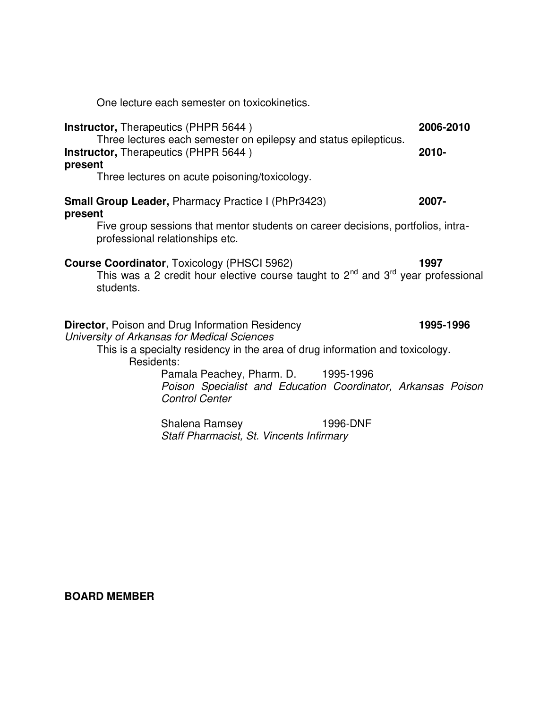One lecture each semester on toxicokinetics.

| <b>Instructor, Therapeutics (PHPR 5644)</b><br>Three lectures each semester on epilepsy and status epilepticus. |                                                                                                                                                  | 2006-2010 |           |
|-----------------------------------------------------------------------------------------------------------------|--------------------------------------------------------------------------------------------------------------------------------------------------|-----------|-----------|
| present                                                                                                         | Instructor, Therapeutics (PHPR 5644)                                                                                                             |           | $2010 -$  |
|                                                                                                                 | Three lectures on acute poisoning/toxicology.                                                                                                    |           |           |
| present                                                                                                         | <b>Small Group Leader, Pharmacy Practice I (PhPr3423)</b>                                                                                        |           | 2007-     |
|                                                                                                                 | Five group sessions that mentor students on career decisions, portfolios, intra-<br>professional relationships etc.                              |           |           |
| students.                                                                                                       | <b>Course Coordinator, Toxicology (PHSCI 5962)</b><br>This was a 2 credit hour elective course taught to $2^{nd}$ and $3^{rd}$ year professional |           | 1997      |
|                                                                                                                 | <b>Director, Poison and Drug Information Residency</b><br>University of Arkansas for Medical Sciences                                            |           | 1995-1996 |
| Residents:                                                                                                      | This is a specialty residency in the area of drug information and toxicology.                                                                    |           |           |
|                                                                                                                 | Pamala Peachey, Pharm. D. 1995-1996<br>Poison Specialist and Education Coordinator, Arkansas Poison<br><b>Control Center</b>                     |           |           |
|                                                                                                                 | Shalena Ramsey<br>Staff Pharmacist, St. Vincents Infirmary                                                                                       | 1996-DNF  |           |

# **BOARD MEMBER**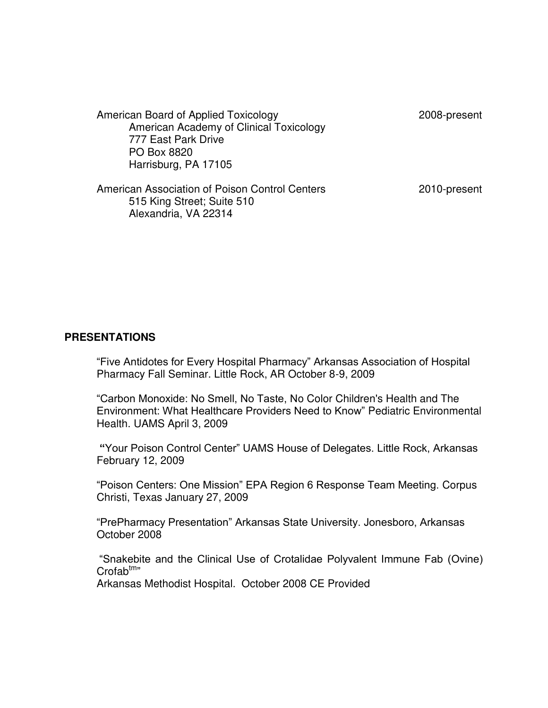| American Board of Applied Toxicology<br>American Academy of Clinical Toxicology<br>777 East Park Drive<br>PO Box 8820<br>Harrisburg, PA 17105 | 2008-present |
|-----------------------------------------------------------------------------------------------------------------------------------------------|--------------|
| American Association of Poison Control Centers<br>515 King Street; Suite 510<br>Alexandria, VA 22314                                          | 2010-present |

#### **PRESENTATIONS**

"Five Antidotes for Every Hospital Pharmacy" Arkansas Association of Hospital Pharmacy Fall Seminar. Little Rock, AR October 8-9, 2009

"Carbon Monoxide: No Smell, No Taste, No Color Children's Health and The Environment: What Healthcare Providers Need to Know" Pediatric Environmental Health. UAMS April 3, 2009

**"**Your Poison Control Center" UAMS House of Delegates. Little Rock, Arkansas February 12, 2009

"Poison Centers: One Mission" EPA Region 6 Response Team Meeting. Corpus Christi, Texas January 27, 2009

"PrePharmacy Presentation" Arkansas State University. Jonesboro, Arkansas October 2008

"Snakebite and the Clinical Use of Crotalidae Polyvalent Immune Fab (Ovine)  $Crofab<sup>tm</sup>$ Arkansas Methodist Hospital. October 2008 CE Provided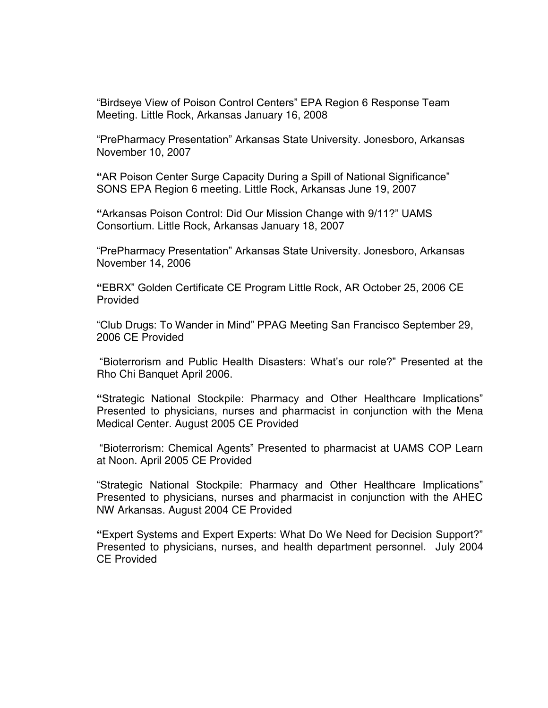"Birdseye View of Poison Control Centers" EPA Region 6 Response Team Meeting. Little Rock, Arkansas January 16, 2008

"PrePharmacy Presentation" Arkansas State University. Jonesboro, Arkansas November 10, 2007

**"**AR Poison Center Surge Capacity During a Spill of National Significance" SONS EPA Region 6 meeting. Little Rock, Arkansas June 19, 2007

**"**Arkansas Poison Control: Did Our Mission Change with 9/11?" UAMS Consortium. Little Rock, Arkansas January 18, 2007

"PrePharmacy Presentation" Arkansas State University. Jonesboro, Arkansas November 14, 2006

**"**EBRX" Golden Certificate CE Program Little Rock, AR October 25, 2006 CE Provided

"Club Drugs: To Wander in Mind" PPAG Meeting San Francisco September 29, 2006 CE Provided

"Bioterrorism and Public Health Disasters: What's our role?" Presented at the Rho Chi Banquet April 2006.

**"**Strategic National Stockpile: Pharmacy and Other Healthcare Implications" Presented to physicians, nurses and pharmacist in conjunction with the Mena Medical Center. August 2005 CE Provided

"Bioterrorism: Chemical Agents" Presented to pharmacist at UAMS COP Learn at Noon. April 2005 CE Provided

"Strategic National Stockpile: Pharmacy and Other Healthcare Implications" Presented to physicians, nurses and pharmacist in conjunction with the AHEC NW Arkansas. August 2004 CE Provided

**"**Expert Systems and Expert Experts: What Do We Need for Decision Support?" Presented to physicians, nurses, and health department personnel. July 2004 CE Provided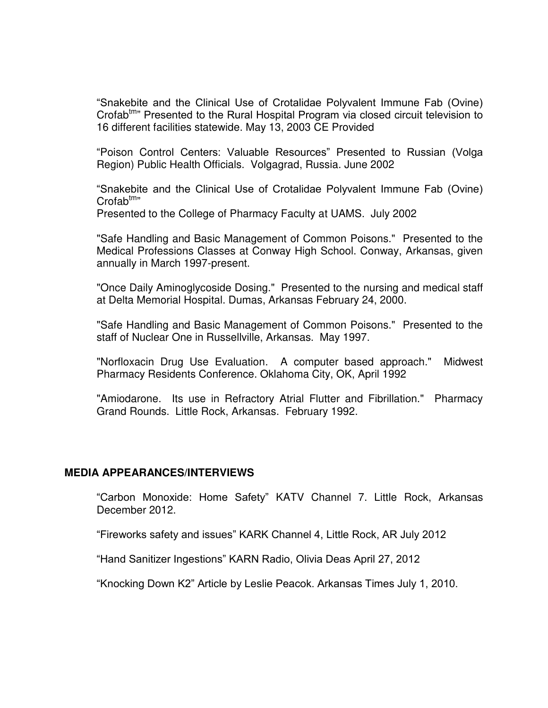"Snakebite and the Clinical Use of Crotalidae Polyvalent Immune Fab (Ovine) Crofab<sup>tm</sup>" Presented to the Rural Hospital Program via closed circuit television to 16 different facilities statewide. May 13, 2003 CE Provided

"Poison Control Centers: Valuable Resources" Presented to Russian (Volga Region) Public Health Officials. Volgagrad, Russia. June 2002

"Snakebite and the Clinical Use of Crotalidae Polyvalent Immune Fab (Ovine)  $Crofab^{tm}$ "

Presented to the College of Pharmacy Faculty at UAMS. July 2002

"Safe Handling and Basic Management of Common Poisons." Presented to the Medical Professions Classes at Conway High School. Conway, Arkansas, given annually in March 1997-present.

"Once Daily Aminoglycoside Dosing." Presented to the nursing and medical staff at Delta Memorial Hospital. Dumas, Arkansas February 24, 2000.

"Safe Handling and Basic Management of Common Poisons." Presented to the staff of Nuclear One in Russellville, Arkansas. May 1997.

"Norfloxacin Drug Use Evaluation. A computer based approach." Midwest Pharmacy Residents Conference. Oklahoma City, OK, April 1992

"Amiodarone. Its use in Refractory Atrial Flutter and Fibrillation." Pharmacy Grand Rounds. Little Rock, Arkansas. February 1992.

#### **MEDIA APPEARANCES/INTERVIEWS**

"Carbon Monoxide: Home Safety" KATV Channel 7. Little Rock, Arkansas December 2012.

"Fireworks safety and issues" KARK Channel 4, Little Rock, AR July 2012

"Hand Sanitizer Ingestions" KARN Radio, Olivia Deas April 27, 2012

"Knocking Down K2" Article by Leslie Peacok. Arkansas Times July 1, 2010.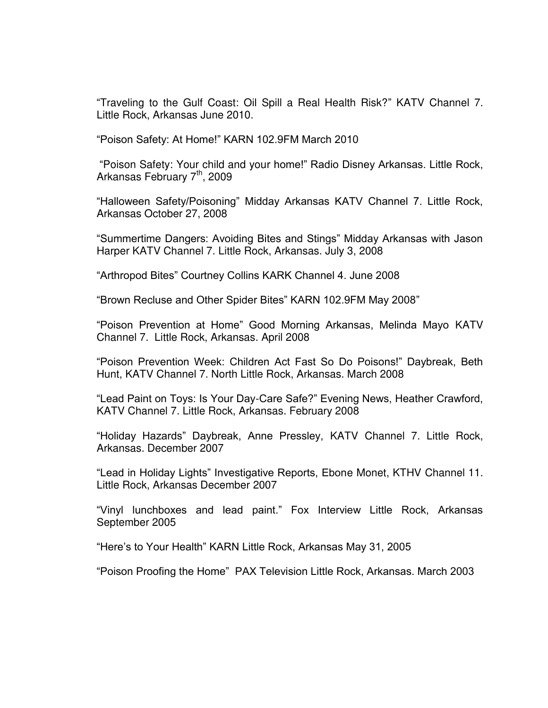"Traveling to the Gulf Coast: Oil Spill a Real Health Risk?" KATV Channel 7. Little Rock, Arkansas June 2010.

"Poison Safety: At Home!" KARN 102.9FM March 2010

"Poison Safety: Your child and your home!" Radio Disney Arkansas. Little Rock, Arkansas February 7<sup>th</sup>, 2009

"Halloween Safety/Poisoning" Midday Arkansas KATV Channel 7. Little Rock, Arkansas October 27, 2008

"Summertime Dangers: Avoiding Bites and Stings" Midday Arkansas with Jason Harper KATV Channel 7. Little Rock, Arkansas. July 3, 2008

"Arthropod Bites" Courtney Collins KARK Channel 4. June 2008

"Brown Recluse and Other Spider Bites" KARN 102.9FM May 2008"

"Poison Prevention at Home" Good Morning Arkansas, Melinda Mayo KATV Channel 7. Little Rock, Arkansas. April 2008

"Poison Prevention Week: Children Act Fast So Do Poisons!" Daybreak, Beth Hunt, KATV Channel 7. North Little Rock, Arkansas. March 2008

"Lead Paint on Toys: Is Your Day-Care Safe?" Evening News, Heather Crawford, KATV Channel 7. Little Rock, Arkansas. February 2008

"Holiday Hazards" Daybreak, Anne Pressley, KATV Channel 7. Little Rock, Arkansas. December 2007

"Lead in Holiday Lights" Investigative Reports, Ebone Monet, KTHV Channel 11. Little Rock, Arkansas December 2007

"Vinyl lunchboxes and lead paint." Fox Interview Little Rock, Arkansas September 2005

"Here's to Your Health" KARN Little Rock, Arkansas May 31, 2005

"Poison Proofing the Home" PAX Television Little Rock, Arkansas. March 2003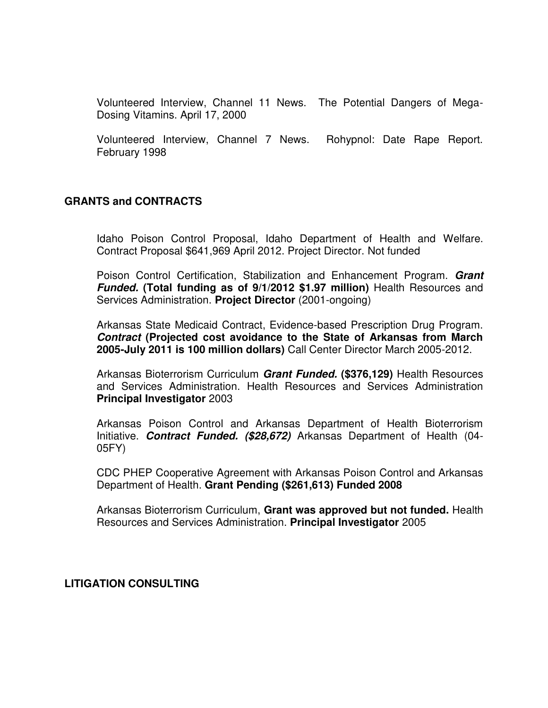Volunteered Interview, Channel 11 News. The Potential Dangers of Mega-Dosing Vitamins. April 17, 2000

Volunteered Interview, Channel 7 News. Rohypnol: Date Rape Report. February 1998

### **GRANTS and CONTRACTS**

Idaho Poison Control Proposal, Idaho Department of Health and Welfare. Contract Proposal \$641,969 April 2012. Project Director. Not funded

Poison Control Certification, Stabilization and Enhancement Program. *Grant Funded.* **(Total funding as of 9/1/2012 \$1.97 million)** Health Resources and Services Administration. **Project Director** (2001-ongoing)

Arkansas State Medicaid Contract, Evidence-based Prescription Drug Program. *Contract* **(Projected cost avoidance to the State of Arkansas from March 2005-July 2011 is 100 million dollars)** Call Center Director March 2005-2012.

Arkansas Bioterrorism Curriculum *Grant Funded.* **(\$376,129)** Health Resources and Services Administration. Health Resources and Services Administration **Principal Investigator** 2003

Arkansas Poison Control and Arkansas Department of Health Bioterrorism Initiative. *Contract Funded. (\$28,672)* Arkansas Department of Health (04- 05FY)

CDC PHEP Cooperative Agreement with Arkansas Poison Control and Arkansas Department of Health. **Grant Pending (\$261,613) Funded 2008**

Arkansas Bioterrorism Curriculum, **Grant was approved but not funded.** Health Resources and Services Administration. **Principal Investigator** 2005

#### **LITIGATION CONSULTING**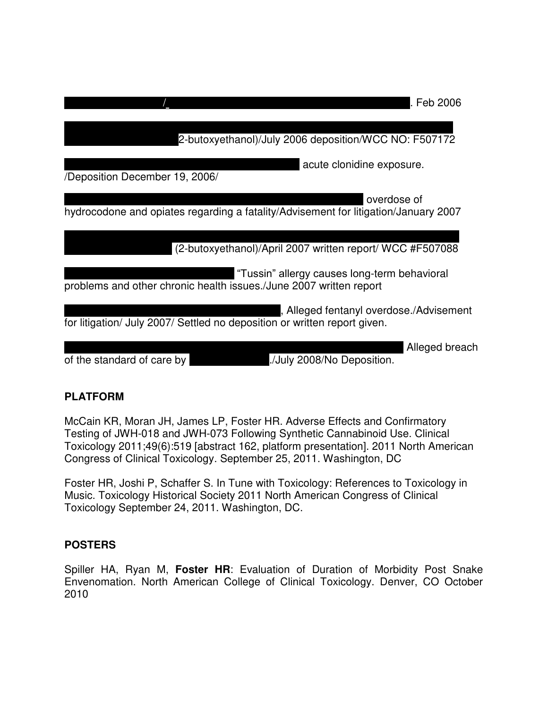|                                                                           | Feb 2006                                                                                           |
|---------------------------------------------------------------------------|----------------------------------------------------------------------------------------------------|
|                                                                           | 2-butoxyethanol)/July 2006 deposition/WCC NO: F507172                                              |
| /Deposition December 19, 2006/                                            | acute clonidine exposure.                                                                          |
|                                                                           | overdose of<br>hydrocodone and opiates regarding a fatality/Advisement for litigation/January 2007 |
|                                                                           | (2-butoxyethanol)/April 2007 written report/ WCC #F507088                                          |
| problems and other chronic health issues./June 2007 written report        | "Tussin" allergy causes long-term behavioral                                                       |
| for litigation/ July 2007/ Settled no deposition or written report given. | Alleged fentanyl overdose./Advisement                                                              |
|                                                                           | Alleged breach                                                                                     |

# **PLATFORM**

McCain KR, Moran JH, James LP, Foster HR. Adverse Effects and Confirmatory Testing of JWH-018 and JWH-073 Following Synthetic Cannabinoid Use. Clinical Toxicology 2011;49(6):519 [abstract 162, platform presentation]. 2011 North American Congress of Clinical Toxicology. September 25, 2011. Washington, DC

of the standard of care by  $\frac{1}{2008}$  /July 2008/No Deposition.

Foster HR, Joshi P, Schaffer S. In Tune with Toxicology: References to Toxicology in Music. Toxicology Historical Society 2011 North American Congress of Clinical Toxicology September 24, 2011. Washington, DC.

# **POSTERS**

Spiller HA, Ryan M, **Foster HR**: Evaluation of Duration of Morbidity Post Snake Envenomation. North American College of Clinical Toxicology. Denver, CO October 2010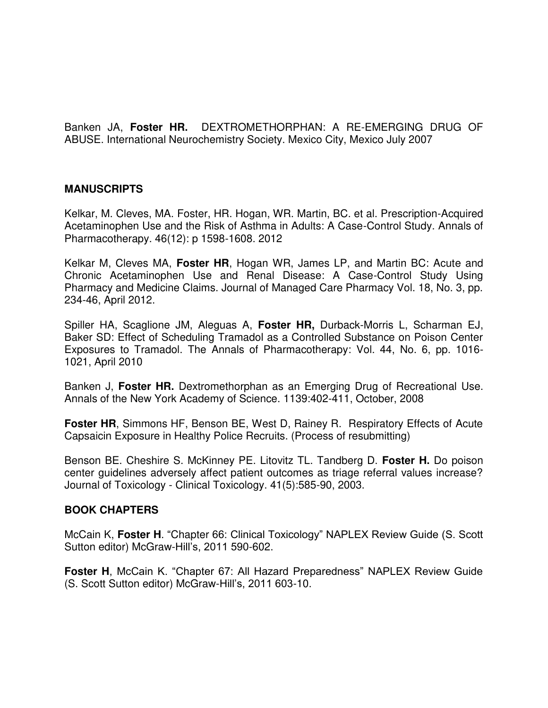Banken JA, **Foster HR.** DEXTROMETHORPHAN: A RE-EMERGING DRUG OF ABUSE. International Neurochemistry Society. Mexico City, Mexico July 2007

### **MANUSCRIPTS**

Kelkar, M. Cleves, MA. Foster, HR. Hogan, WR. Martin, BC. et al. [Prescription-Acquired](http://ovidsp.tx.ovid.com/sp-3.8.1a/ovidweb.cgi?&S=BHDOFPNCEGDDPLFFNCOKBEOBNFDHAA00&Complete+Reference=S.sh.20%7c6%7c1)  [Acetaminophen Use and the Risk of Asthma in Adults: A Case-Control Study.](http://ovidsp.tx.ovid.com/sp-3.8.1a/ovidweb.cgi?&S=BHDOFPNCEGDDPLFFNCOKBEOBNFDHAA00&Complete+Reference=S.sh.20%7c6%7c1) Annals of Pharmacotherapy. 46(12): p 1598-1608. 2012

Kelkar M, Cleves MA, **Foster HR**, Hogan WR, James LP, and Martin BC: Acute and Chronic Acetaminophen Use and Renal Disease: A Case-Control Study Using Pharmacy and Medicine Claims. Journal of Managed Care Pharmacy Vol. 18, No. 3, pp. 234-46, April 2012.

Spiller HA, Scaglione JM, Aleguas A, **Foster HR,** Durback-Morris L, Scharman EJ, Baker SD: Effect of Scheduling Tramadol as a Controlled Substance on Poison Center Exposures to Tramadol. The Annals of Pharmacotherapy: Vol. 44, No. 6, pp. 1016- 1021, April 2010

Banken J, **Foster HR.** Dextromethorphan as an Emerging Drug of Recreational Use. Annals of the New York Academy of Science. 1139:402-411, October, 2008

**Foster HR**, Simmons HF, Benson BE, West D, Rainey R. Respiratory Effects of Acute Capsaicin Exposure in Healthy Police Recruits. (Process of resubmitting)

Benson BE. Cheshire S. McKinney PE. Litovitz TL. Tandberg D. **Foster H.** Do poison center guidelines adversely affect patient outcomes as triage referral values increase? Journal of Toxicology - Clinical Toxicology. 41(5):585-90, 2003.

#### **BOOK CHAPTERS**

McCain K, **Foster H**. "Chapter 66: Clinical Toxicology" NAPLEX Review Guide (S. Scott Sutton editor) McGraw-Hill's, 2011 590-602.

**Foster H**, McCain K. "Chapter 67: All Hazard Preparedness" NAPLEX Review Guide (S. Scott Sutton editor) McGraw-Hill's, 2011 603-10.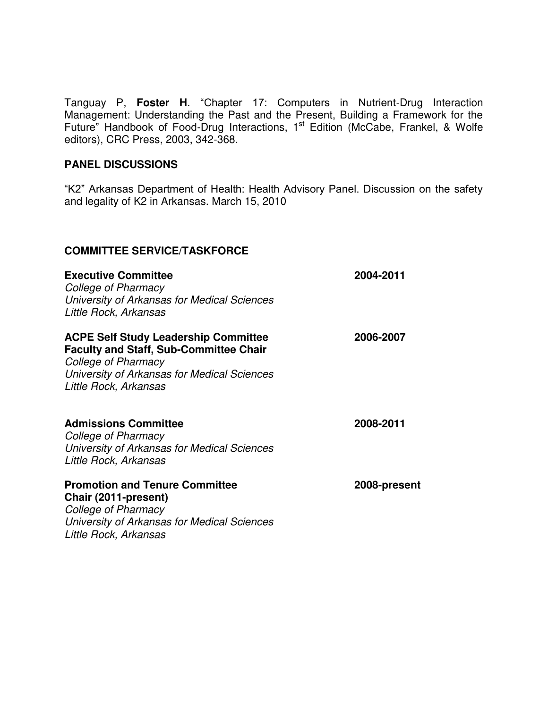Tanguay P, **Foster H**. "Chapter 17: Computers in Nutrient-Drug Interaction Management: Understanding the Past and the Present, Building a Framework for the Future" Handbook of Food-Drug Interactions, 1<sup>st</sup> Edition (McCabe, Frankel, & Wolfe editors), CRC Press, 2003, 342-368.

### **PANEL DISCUSSIONS**

"K2" Arkansas Department of Health: Health Advisory Panel. Discussion on the safety and legality of K2 in Arkansas. March 15, 2010

### **COMMITTEE SERVICE/TASKFORCE**

**Executive Committee 2004-2011** 

*College of Pharmacy University of Arkansas for Medical Sciences Little Rock, Arkansas* 

#### **ACPE Self Study Leadership Committee 2006-2007 Faculty and Staff, Sub-Committee Chair**

*College of Pharmacy University of Arkansas for Medical Sciences Little Rock, Arkansas* 

# **Admissions Committee 2008-2011**

*College of Pharmacy University of Arkansas for Medical Sciences Little Rock, Arkansas* 

**Promotion and Tenure Committee 2008-present** 

**Chair (2011-present)**  *College of Pharmacy University of Arkansas for Medical Sciences Little Rock, Arkansas*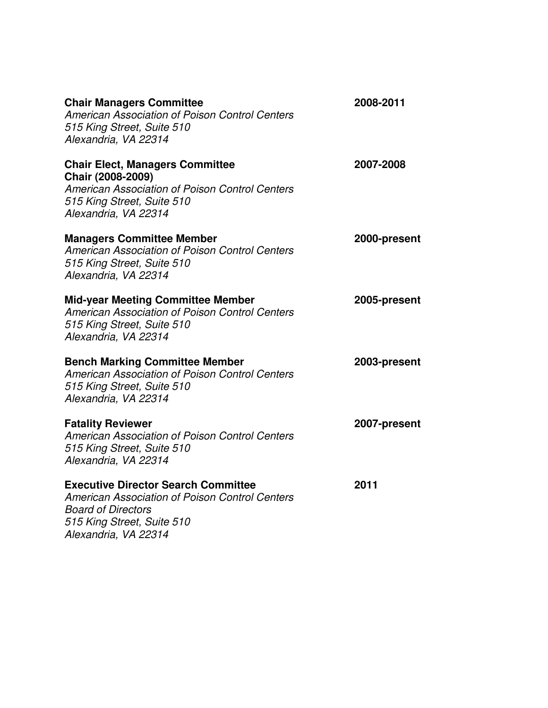| <b>Chair Managers Committee</b><br>American Association of Poison Control Centers<br>515 King Street, Suite 510<br>Alexandria, VA 22314                                         | 2008-2011    |
|---------------------------------------------------------------------------------------------------------------------------------------------------------------------------------|--------------|
| <b>Chair Elect, Managers Committee</b><br>Chair (2008-2009)<br><b>American Association of Poison Control Centers</b><br>515 King Street, Suite 510<br>Alexandria, VA 22314      | 2007-2008    |
| <b>Managers Committee Member</b><br>American Association of Poison Control Centers<br>515 King Street, Suite 510<br>Alexandria, VA 22314                                        | 2000-present |
| <b>Mid-year Meeting Committee Member</b><br>American Association of Poison Control Centers<br>515 King Street, Suite 510<br>Alexandria, VA 22314                                | 2005-present |
| <b>Bench Marking Committee Member</b><br><b>American Association of Poison Control Centers</b><br>515 King Street, Suite 510<br>Alexandria, VA 22314                            | 2003-present |
| <b>Fatality Reviewer</b><br>American Association of Poison Control Centers<br>515 King Street, Suite 510<br>Alexandria, VA 22314                                                | 2007-present |
| <b>Executive Director Search Committee</b><br>American Association of Poison Control Centers<br><b>Board of Directors</b><br>515 King Street, Suite 510<br>Alexandria, VA 22314 | 2011         |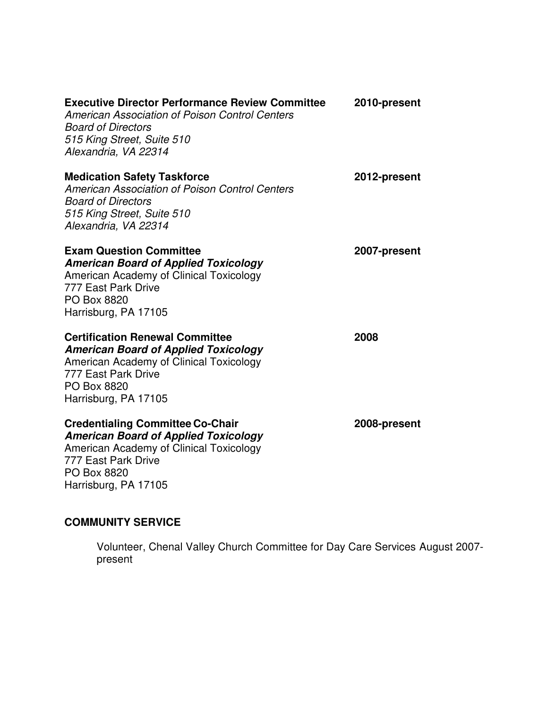| <b>Executive Director Performance Review Committee</b><br>American Association of Poison Control Centers<br><b>Board of Directors</b><br>515 King Street, Suite 510<br>Alexandria, VA 22314     | 2010-present |
|-------------------------------------------------------------------------------------------------------------------------------------------------------------------------------------------------|--------------|
| <b>Medication Safety Taskforce</b><br>American Association of Poison Control Centers<br><b>Board of Directors</b><br>515 King Street, Suite 510<br>Alexandria, VA 22314                         | 2012-present |
| <b>Exam Question Committee</b><br><b>American Board of Applied Toxicology</b><br>American Academy of Clinical Toxicology<br>777 East Park Drive<br>PO Box 8820<br>Harrisburg, PA 17105          | 2007-present |
| <b>Certification Renewal Committee</b><br><b>American Board of Applied Toxicology</b><br>American Academy of Clinical Toxicology<br>777 East Park Drive<br>PO Box 8820<br>Harrisburg, PA 17105  | 2008         |
| <b>Credentialing Committee Co-Chair</b><br><b>American Board of Applied Toxicology</b><br>American Academy of Clinical Toxicology<br>777 East Park Drive<br>PO Box 8820<br>Harrisburg, PA 17105 | 2008-present |

# **COMMUNITY SERVICE**

Volunteer, Chenal Valley Church Committee for Day Care Services August 2007 present